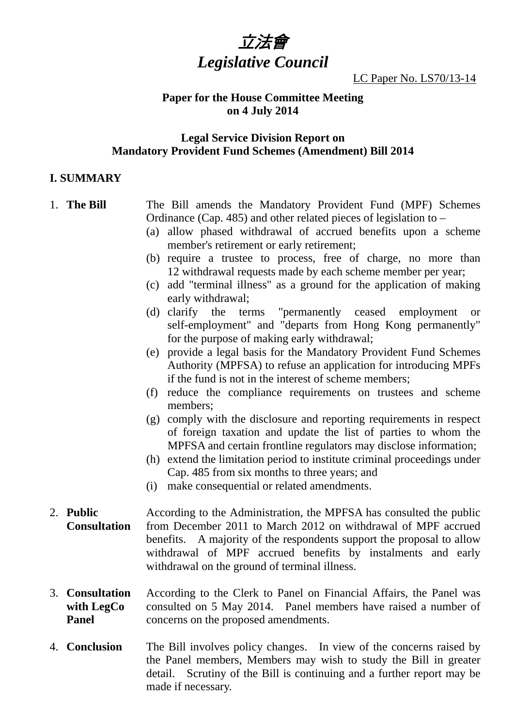

LC Paper No. LS70/13-14

#### **Paper for the House Committee Meeting on 4 July 2014**

#### **Legal Service Division Report on Mandatory Provident Fund Schemes (Amendment) Bill 2014**

#### **I. SUMMARY**

| 1. The Bill         | The Bill amends the Mandatory Provident Fund (MPF) Schemes                  |
|---------------------|-----------------------------------------------------------------------------|
|                     | Ordinance (Cap. 485) and other related pieces of legislation to $-$         |
|                     | (a) allow phased withdrawal of accrued benefits upon a scheme               |
|                     | member's retirement or early retirement;                                    |
|                     | (b) require a trustee to process, free of charge, no more than              |
|                     | 12 withdrawal requests made by each scheme member per year;                 |
|                     | add "terminal illness" as a ground for the application of making<br>(c)     |
|                     | early withdrawal;                                                           |
|                     | (d) clarify the terms "permanently ceased employment<br><b>or</b>           |
|                     | self-employment" and "departs from Hong Kong permanently"                   |
|                     | for the purpose of making early withdrawal;                                 |
|                     | (e) provide a legal basis for the Mandatory Provident Fund Schemes          |
|                     | Authority (MPFSA) to refuse an application for introducing MPFs             |
|                     | if the fund is not in the interest of scheme members;                       |
|                     | reduce the compliance requirements on trustees and scheme<br>(f)            |
|                     | members;                                                                    |
|                     | comply with the disclosure and reporting requirements in respect<br>(g)     |
|                     | of foreign taxation and update the list of parties to whom the              |
|                     | MPFSA and certain frontline regulators may disclose information;            |
|                     | extend the limitation period to institute criminal proceedings under<br>(h) |
|                     | Cap. 485 from six months to three years; and                                |
|                     | (i) make consequential or related amendments.                               |
| 2. Public           | According to the Administration, the MPFSA has consulted the public         |
| <b>Consultation</b> | from December 2011 to March 2012 on withdrawal of MPF accrued               |
|                     | benefits. A majority of the respondents support the proposal to allow       |
|                     | withdrawal of MPF accrued benefits by instalments and early                 |
|                     | withdrawal on the ground of terminal illness.                               |
|                     |                                                                             |

- 3. **Consultation with LegCo Panel**  According to the Clerk to Panel on Financial Affairs, the Panel was consulted on 5 May 2014. Panel members have raised a number of concerns on the proposed amendments.
- 4. **Conclusion** The Bill involves policy changes. In view of the concerns raised by the Panel members, Members may wish to study the Bill in greater detail. Scrutiny of the Bill is continuing and a further report may be made if necessary.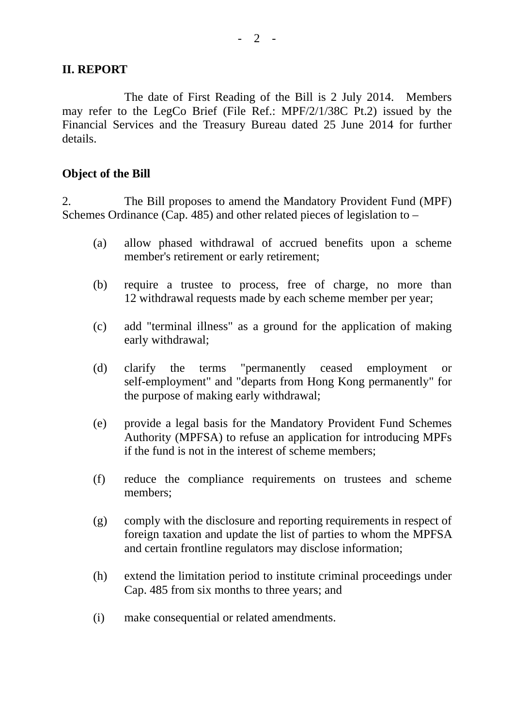## **II. REPORT**

 The date of First Reading of the Bill is 2 July 2014. Members may refer to the LegCo Brief (File Ref.: MPF/2/1/38C Pt.2) issued by the Financial Services and the Treasury Bureau dated 25 June 2014 for further details.

### **Object of the Bill**

2. The Bill proposes to amend the Mandatory Provident Fund (MPF) Schemes Ordinance (Cap. 485) and other related pieces of legislation to –

- (a) allow phased withdrawal of accrued benefits upon a scheme member's retirement or early retirement;
- (b) require a trustee to process, free of charge, no more than 12 withdrawal requests made by each scheme member per year;
- (c) add "terminal illness" as a ground for the application of making early withdrawal;
- (d) clarify the terms "permanently ceased employment or self-employment" and "departs from Hong Kong permanently" for the purpose of making early withdrawal;
- (e) provide a legal basis for the Mandatory Provident Fund Schemes Authority (MPFSA) to refuse an application for introducing MPFs if the fund is not in the interest of scheme members;
- (f) reduce the compliance requirements on trustees and scheme members;
- (g) comply with the disclosure and reporting requirements in respect of foreign taxation and update the list of parties to whom the MPFSA and certain frontline regulators may disclose information;
- (h) extend the limitation period to institute criminal proceedings under Cap. 485 from six months to three years; and
- (i) make consequential or related amendments.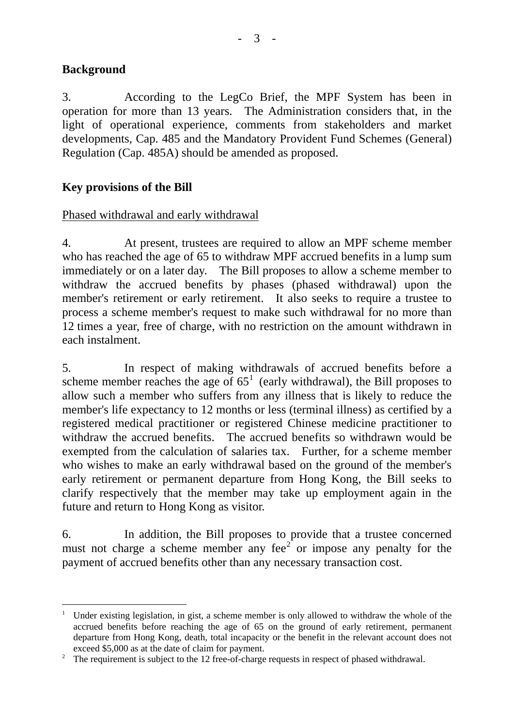# **Background**

 $\overline{a}$ 

3. According to the LegCo Brief, the MPF System has been in operation for more than 13 years. The Administration considers that, in the light of operational experience, comments from stakeholders and market developments, Cap. 485 and the Mandatory Provident Fund Schemes (General) Regulation (Cap. 485A) should be amended as proposed.

# **Key provisions of the Bill**

### Phased withdrawal and early withdrawal

4. At present, trustees are required to allow an MPF scheme member who has reached the age of 65 to withdraw MPF accrued benefits in a lump sum immediately or on a later day. The Bill proposes to allow a scheme member to withdraw the accrued benefits by phases (phased withdrawal) upon the member's retirement or early retirement. It also seeks to require a trustee to process a scheme member's request to make such withdrawal for no more than 12 times a year, free of charge, with no restriction on the amount withdrawn in each instalment.

5. In respect of making withdrawals of accrued benefits before a scheme member reaches the age of  $65<sup>1</sup>$  $65<sup>1</sup>$  $65<sup>1</sup>$  (early withdrawal), the Bill proposes to allow such a member who suffers from any illness that is likely to reduce the member's life expectancy to 12 months or less (terminal illness) as certified by a registered medical practitioner or registered Chinese medicine practitioner to withdraw the accrued benefits. The accrued benefits so withdrawn would be exempted from the calculation of salaries tax. Further, for a scheme member who wishes to make an early withdrawal based on the ground of the member's early retirement or permanent departure from Hong Kong, the Bill seeks to clarify respectively that the member may take up employment again in the future and return to Hong Kong as visitor.

6. In addition, the Bill proposes to provide that a trustee concerned must not charge a scheme member any fee<sup>[2](#page-2-1)</sup> or impose any penalty for the payment of accrued benefits other than any necessary transaction cost.

<span id="page-2-0"></span><sup>&</sup>lt;sup>1</sup> Under existing legislation, in gist, a scheme member is only allowed to withdraw the whole of the accrued benefits before reaching the age of 65 on the ground of early retirement, permanent departure from Hong Kong, death, total incapacity or the benefit in the relevant account does not exceed \$5,000 as at the date of claim for payment.

<span id="page-2-1"></span><sup>&</sup>lt;sup>2</sup> The requirement is subject to the 12 free-of-charge requests in respect of phased withdrawal.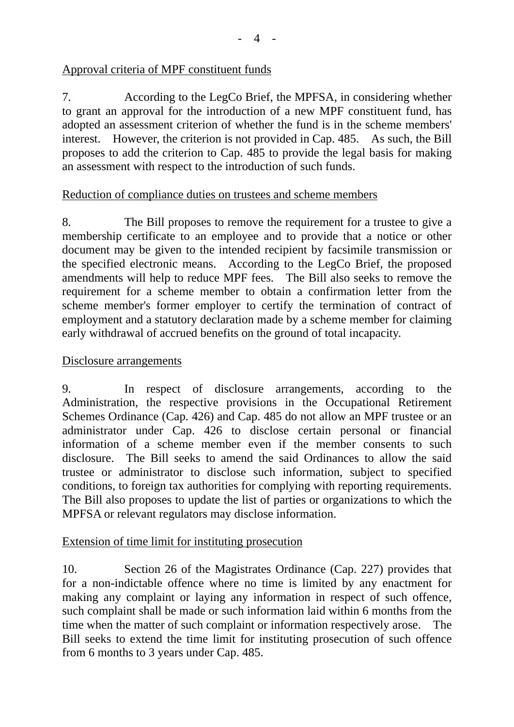# Approval criteria of MPF constituent funds

7. According to the LegCo Brief, the MPFSA, in considering whether to grant an approval for the introduction of a new MPF constituent fund, has adopted an assessment criterion of whether the fund is in the scheme members' interest. However, the criterion is not provided in Cap. 485. As such, the Bill proposes to add the criterion to Cap. 485 to provide the legal basis for making an assessment with respect to the introduction of such funds.

## Reduction of compliance duties on trustees and scheme members

8. The Bill proposes to remove the requirement for a trustee to give a membership certificate to an employee and to provide that a notice or other document may be given to the intended recipient by facsimile transmission or the specified electronic means. According to the LegCo Brief, the proposed amendments will help to reduce MPF fees. The Bill also seeks to remove the requirement for a scheme member to obtain a confirmation letter from the scheme member's former employer to certify the termination of contract of employment and a statutory declaration made by a scheme member for claiming early withdrawal of accrued benefits on the ground of total incapacity.

# Disclosure arrangements

9. In respect of disclosure arrangements, according to the Administration, the respective provisions in the Occupational Retirement Schemes Ordinance (Cap. 426) and Cap. 485 do not allow an MPF trustee or an administrator under Cap. 426 to disclose certain personal or financial information of a scheme member even if the member consents to such disclosure. The Bill seeks to amend the said Ordinances to allow the said trustee or administrator to disclose such information, subject to specified conditions, to foreign tax authorities for complying with reporting requirements. The Bill also proposes to update the list of parties or organizations to which the MPFSA or relevant regulators may disclose information.

## Extension of time limit for instituting prosecution

10. Section 26 of the Magistrates Ordinance (Cap. 227) provides that for a non-indictable offence where no time is limited by any enactment for making any complaint or laying any information in respect of such offence, such complaint shall be made or such information laid within 6 months from the time when the matter of such complaint or information respectively arose. The Bill seeks to extend the time limit for instituting prosecution of such offence from 6 months to 3 years under Cap. 485.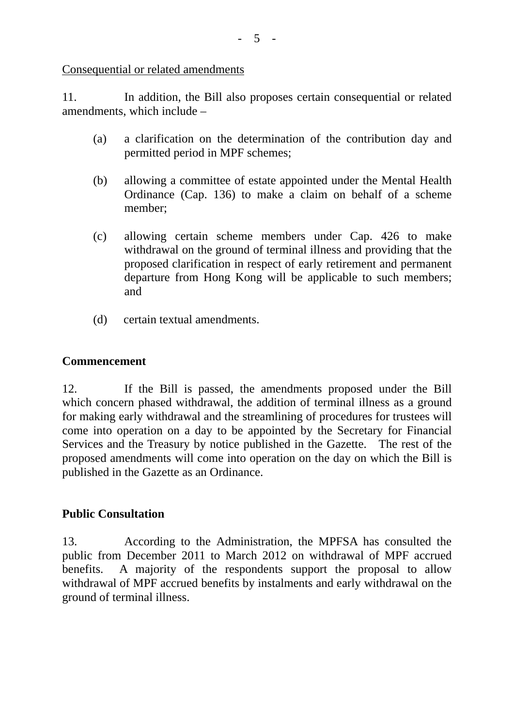Consequential or related amendments

11. In addition, the Bill also proposes certain consequential or related amendments, which include –

- (a) a clarification on the determination of the contribution day and permitted period in MPF schemes;
- (b) allowing a committee of estate appointed under the Mental Health Ordinance (Cap. 136) to make a claim on behalf of a scheme member;
- (c) allowing certain scheme members under Cap. 426 to make withdrawal on the ground of terminal illness and providing that the proposed clarification in respect of early retirement and permanent departure from Hong Kong will be applicable to such members; and
- (d) certain textual amendments.

## **Commencement**

12. If the Bill is passed, the amendments proposed under the Bill which concern phased withdrawal, the addition of terminal illness as a ground for making early withdrawal and the streamlining of procedures for trustees will come into operation on a day to be appointed by the Secretary for Financial Services and the Treasury by notice published in the Gazette. The rest of the proposed amendments will come into operation on the day on which the Bill is published in the Gazette as an Ordinance.

## **Public Consultation**

13. According to the Administration, the MPFSA has consulted the public from December 2011 to March 2012 on withdrawal of MPF accrued benefits. A majority of the respondents support the proposal to allow withdrawal of MPF accrued benefits by instalments and early withdrawal on the ground of terminal illness.